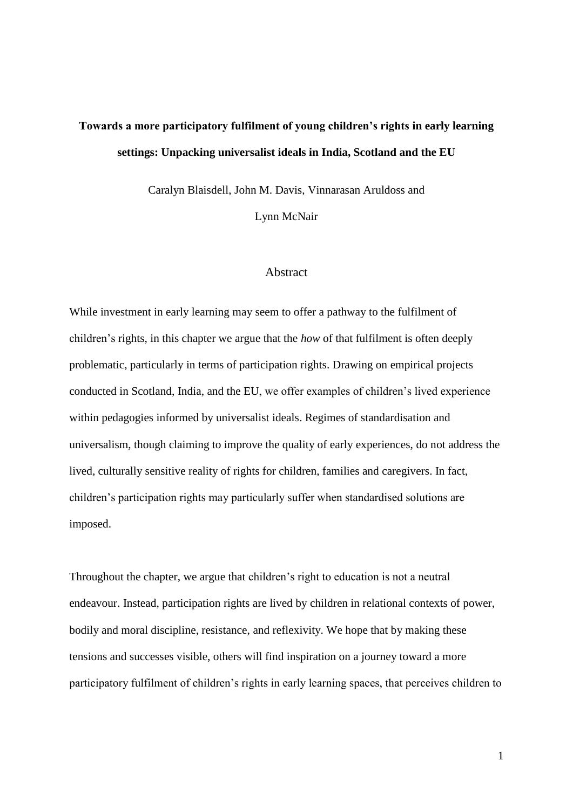# **Towards a more participatory fulfilment of young children's rights in early learning settings: Unpacking universalist ideals in India, Scotland and the EU**

Caralyn Blaisdell, John M. Davis, Vinnarasan Aruldoss and

Lynn McNair

## **Abstract**

While investment in early learning may seem to offer a pathway to the fulfilment of children's rights, in this chapter we argue that the *how* of that fulfilment is often deeply problematic, particularly in terms of participation rights. Drawing on empirical projects conducted in Scotland, India, and the EU, we offer examples of children's lived experience within pedagogies informed by universalist ideals. Regimes of standardisation and universalism, though claiming to improve the quality of early experiences, do not address the lived, culturally sensitive reality of rights for children, families and caregivers. In fact, children's participation rights may particularly suffer when standardised solutions are imposed.

Throughout the chapter, we argue that children's right to education is not a neutral endeavour. Instead, participation rights are lived by children in relational contexts of power, bodily and moral discipline, resistance, and reflexivity. We hope that by making these tensions and successes visible, others will find inspiration on a journey toward a more participatory fulfilment of children's rights in early learning spaces, that perceives children to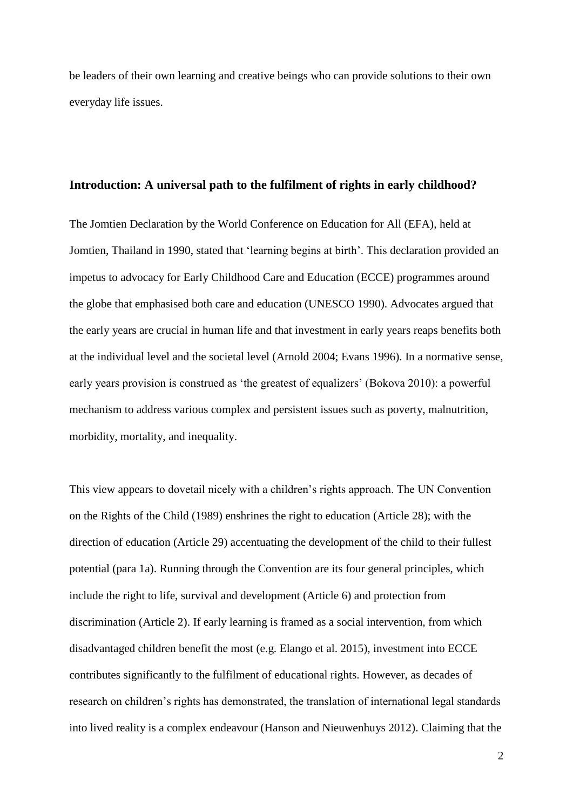be leaders of their own learning and creative beings who can provide solutions to their own everyday life issues.

### **Introduction: A universal path to the fulfilment of rights in early childhood?**

The Jomtien Declaration by the World Conference on Education for All (EFA), held at Jomtien, Thailand in 1990, stated that 'learning begins at birth'. This declaration provided an impetus to advocacy for Early Childhood Care and Education (ECCE) programmes around the globe that emphasised both care and education (UNESCO 1990). Advocates argued that the early years are crucial in human life and that investment in early years reaps benefits both at the individual level and the societal level (Arnold 2004; Evans 1996). In a normative sense, early years provision is construed as 'the greatest of equalizers' (Bokova 2010): a powerful mechanism to address various complex and persistent issues such as poverty, malnutrition, morbidity, mortality, and inequality.

This view appears to dovetail nicely with a children's rights approach. The UN Convention on the Rights of the Child (1989) enshrines the right to education (Article 28); with the direction of education (Article 29) accentuating the development of the child to their fullest potential (para 1a). Running through the Convention are its four general principles, which include the right to life, survival and development (Article 6) and protection from discrimination (Article 2). If early learning is framed as a social intervention, from which disadvantaged children benefit the most (e.g. Elango et al. 2015), investment into ECCE contributes significantly to the fulfilment of educational rights. However, as decades of research on children's rights has demonstrated, the translation of international legal standards into lived reality is a complex endeavour (Hanson and Nieuwenhuys 2012). Claiming that the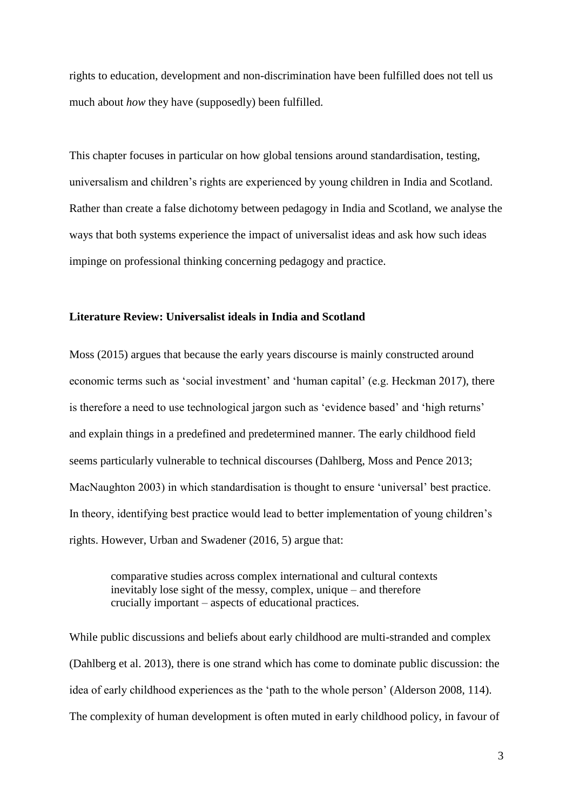rights to education, development and non-discrimination have been fulfilled does not tell us much about *how* they have (supposedly) been fulfilled.

This chapter focuses in particular on how global tensions around standardisation, testing, universalism and children's rights are experienced by young children in India and Scotland. Rather than create a false dichotomy between pedagogy in India and Scotland, we analyse the ways that both systems experience the impact of universalist ideas and ask how such ideas impinge on professional thinking concerning pedagogy and practice.

#### **Literature Review: Universalist ideals in India and Scotland**

Moss (2015) argues that because the early years discourse is mainly constructed around economic terms such as 'social investment' and 'human capital' (e.g. Heckman 2017), there is therefore a need to use technological jargon such as 'evidence based' and 'high returns' and explain things in a predefined and predetermined manner. The early childhood field seems particularly vulnerable to technical discourses (Dahlberg, Moss and Pence 2013; MacNaughton 2003) in which standardisation is thought to ensure 'universal' best practice. In theory, identifying best practice would lead to better implementation of young children's rights. However, Urban and Swadener (2016, 5) argue that:

comparative studies across complex international and cultural contexts inevitably lose sight of the messy, complex, unique – and therefore crucially important – aspects of educational practices.

While public discussions and beliefs about early childhood are multi-stranded and complex (Dahlberg et al. 2013), there is one strand which has come to dominate public discussion: the idea of early childhood experiences as the 'path to the whole person' (Alderson 2008, 114). The complexity of human development is often muted in early childhood policy, in favour of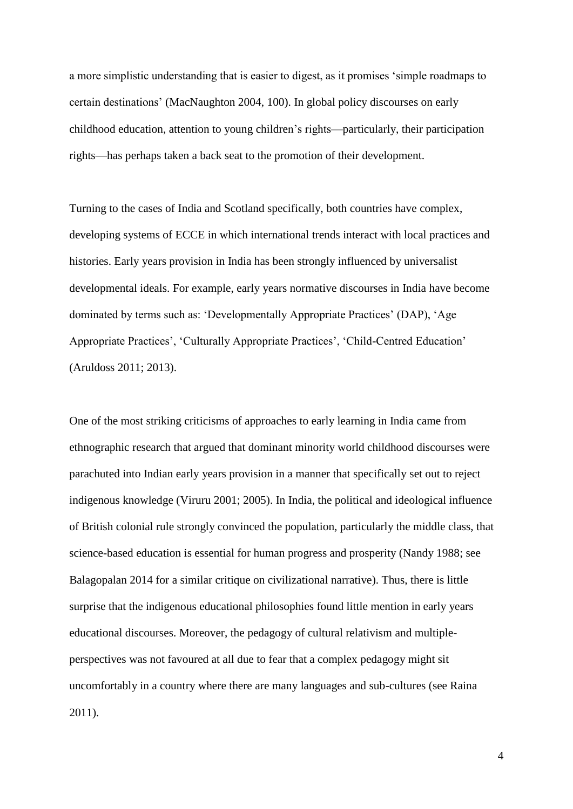a more simplistic understanding that is easier to digest, as it promises 'simple roadmaps to certain destinations' (MacNaughton 2004, 100). In global policy discourses on early childhood education, attention to young children's rights—particularly, their participation rights—has perhaps taken a back seat to the promotion of their development.

Turning to the cases of India and Scotland specifically, both countries have complex, developing systems of ECCE in which international trends interact with local practices and histories. Early years provision in India has been strongly influenced by universalist developmental ideals. For example, early years normative discourses in India have become dominated by terms such as: 'Developmentally Appropriate Practices' (DAP), 'Age Appropriate Practices', 'Culturally Appropriate Practices', 'Child-Centred Education' (Aruldoss 2011; 2013).

One of the most striking criticisms of approaches to early learning in India came from ethnographic research that argued that dominant minority world childhood discourses were parachuted into Indian early years provision in a manner that specifically set out to reject indigenous knowledge (Viruru 2001; 2005). In India, the political and ideological influence of British colonial rule strongly convinced the population, particularly the middle class, that science-based education is essential for human progress and prosperity (Nandy 1988; see Balagopalan 2014 for a similar critique on civilizational narrative). Thus, there is little surprise that the indigenous educational philosophies found little mention in early years educational discourses. Moreover, the pedagogy of cultural relativism and multipleperspectives was not favoured at all due to fear that a complex pedagogy might sit uncomfortably in a country where there are many languages and sub-cultures (see Raina 2011).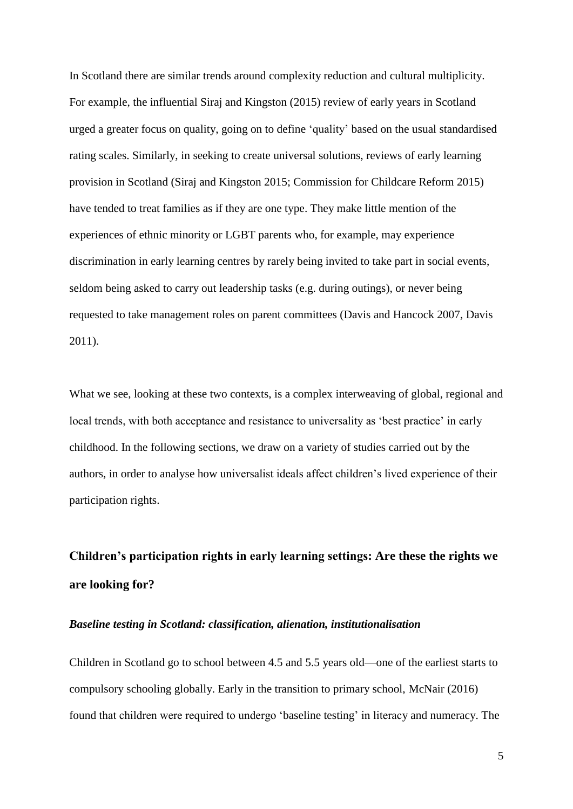In Scotland there are similar trends around complexity reduction and cultural multiplicity. For example, the influential Siraj and Kingston (2015) review of early years in Scotland urged a greater focus on quality, going on to define 'quality' based on the usual standardised rating scales. Similarly, in seeking to create universal solutions, reviews of early learning provision in Scotland (Siraj and Kingston 2015; Commission for Childcare Reform 2015) have tended to treat families as if they are one type. They make little mention of the experiences of ethnic minority or LGBT parents who, for example, may experience discrimination in early learning centres by rarely being invited to take part in social events, seldom being asked to carry out leadership tasks (e.g. during outings), or never being requested to take management roles on parent committees (Davis and Hancock 2007, Davis 2011).

What we see, looking at these two contexts, is a complex interweaving of global, regional and local trends, with both acceptance and resistance to universality as 'best practice' in early childhood. In the following sections, we draw on a variety of studies carried out by the authors, in order to analyse how universalist ideals affect children's lived experience of their participation rights.

# **Children's participation rights in early learning settings: Are these the rights we are looking for?**

#### *Baseline testing in Scotland: classification, alienation, institutionalisation*

Children in Scotland go to school between 4.5 and 5.5 years old—one of the earliest starts to compulsory schooling globally. Early in the transition to primary school, McNair (2016) found that children were required to undergo 'baseline testing' in literacy and numeracy. The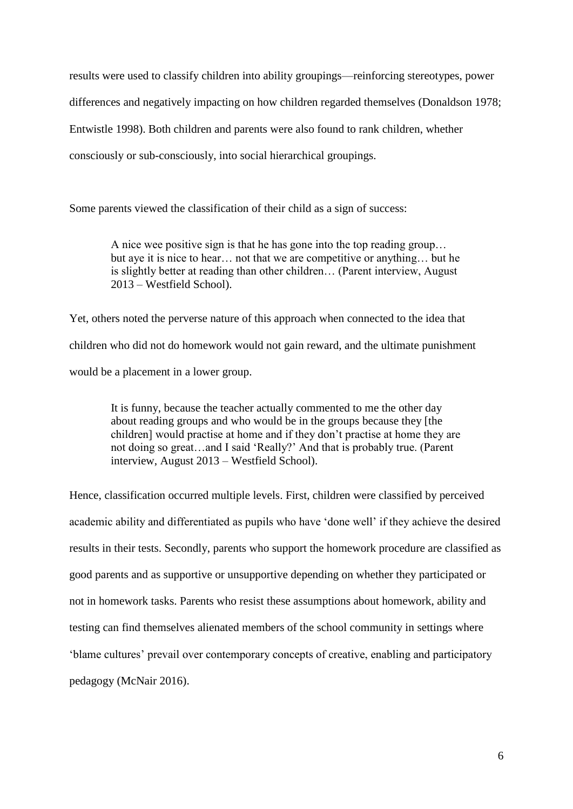results were used to classify children into ability groupings—reinforcing stereotypes, power differences and negatively impacting on how children regarded themselves (Donaldson 1978; Entwistle 1998). Both children and parents were also found to rank children, whether consciously or sub-consciously, into social hierarchical groupings.

Some parents viewed the classification of their child as a sign of success:

A nice wee positive sign is that he has gone into the top reading group… but aye it is nice to hear… not that we are competitive or anything… but he is slightly better at reading than other children… (Parent interview, August 2013 – Westfield School).

Yet, others noted the perverse nature of this approach when connected to the idea that children who did not do homework would not gain reward, and the ultimate punishment would be a placement in a lower group.

> It is funny, because the teacher actually commented to me the other day about reading groups and who would be in the groups because they [the children] would practise at home and if they don't practise at home they are not doing so great…and I said 'Really?' And that is probably true. (Parent interview, August 2013 – Westfield School).

Hence, classification occurred multiple levels. First, children were classified by perceived academic ability and differentiated as pupils who have 'done well' if they achieve the desired results in their tests. Secondly, parents who support the homework procedure are classified as good parents and as supportive or unsupportive depending on whether they participated or not in homework tasks. Parents who resist these assumptions about homework, ability and testing can find themselves alienated members of the school community in settings where 'blame cultures' prevail over contemporary concepts of creative, enabling and participatory pedagogy (McNair 2016).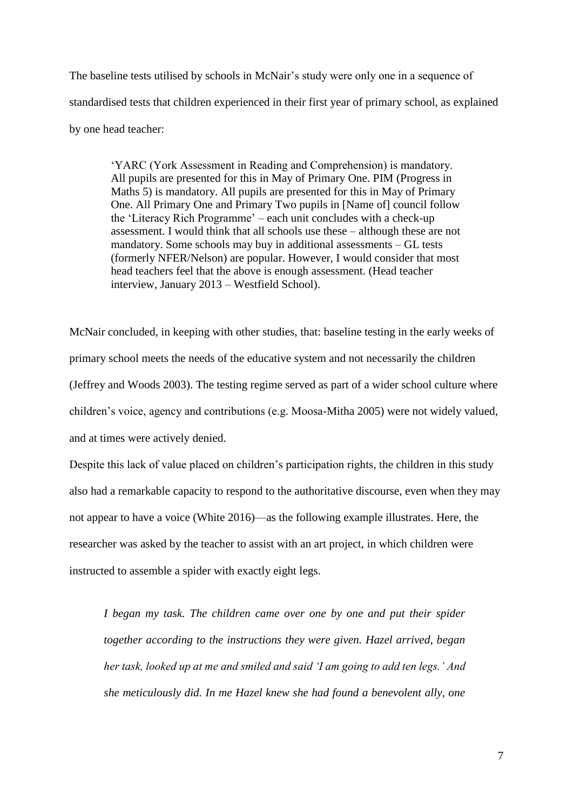The baseline tests utilised by schools in McNair's study were only one in a sequence of standardised tests that children experienced in their first year of primary school, as explained by one head teacher:

'YARC (York Assessment in Reading and Comprehension) is mandatory. All pupils are presented for this in May of Primary One. PIM (Progress in Maths 5) is mandatory. All pupils are presented for this in May of Primary One. All Primary One and Primary Two pupils in [Name of] council follow the 'Literacy Rich Programme' – each unit concludes with a check-up assessment. I would think that all schools use these – although these are not mandatory. Some schools may buy in additional assessments – GL tests (formerly NFER/Nelson) are popular. However, I would consider that most head teachers feel that the above is enough assessment. (Head teacher interview, January 2013 – Westfield School).

McNair concluded, in keeping with other studies, that: baseline testing in the early weeks of primary school meets the needs of the educative system and not necessarily the children (Jeffrey and Woods 2003). The testing regime served as part of a wider school culture where children's voice, agency and contributions (e.g. Moosa-Mitha 2005) were not widely valued, and at times were actively denied.

Despite this lack of value placed on children's participation rights, the children in this study also had a remarkable capacity to respond to the authoritative discourse, even when they may not appear to have a voice (White 2016)—as the following example illustrates. Here, the researcher was asked by the teacher to assist with an art project, in which children were instructed to assemble a spider with exactly eight legs.

*I began my task. The children came over one by one and put their spider together according to the instructions they were given. Hazel arrived, began her task, looked up at me and smiled and said 'I am going to add ten legs.' And she meticulously did. In me Hazel knew she had found a benevolent ally, one*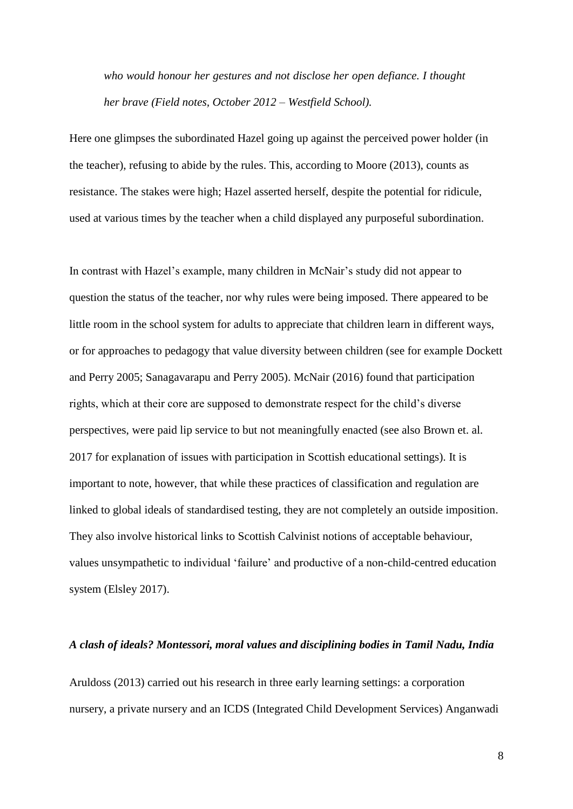*who would honour her gestures and not disclose her open defiance. I thought her brave (Field notes, October 2012 – Westfield School).*

Here one glimpses the subordinated Hazel going up against the perceived power holder (in the teacher), refusing to abide by the rules. This, according to Moore (2013), counts as resistance. The stakes were high; Hazel asserted herself, despite the potential for ridicule, used at various times by the teacher when a child displayed any purposeful subordination.

In contrast with Hazel's example, many children in McNair's study did not appear to question the status of the teacher, nor why rules were being imposed. There appeared to be little room in the school system for adults to appreciate that children learn in different ways, or for approaches to pedagogy that value diversity between children (see for example Dockett and Perry 2005; Sanagavarapu and Perry 2005). McNair (2016) found that participation rights, which at their core are supposed to demonstrate respect for the child's diverse perspectives, were paid lip service to but not meaningfully enacted (see also Brown et. al. 2017 for explanation of issues with participation in Scottish educational settings). It is important to note, however, that while these practices of classification and regulation are linked to global ideals of standardised testing, they are not completely an outside imposition. They also involve historical links to Scottish Calvinist notions of acceptable behaviour, values unsympathetic to individual 'failure' and productive of a non-child-centred education system (Elsley 2017).

#### *A clash of ideals? Montessori, moral values and disciplining bodies in Tamil Nadu, India*

Aruldoss (2013) carried out his research in three early learning settings: a corporation nursery, a private nursery and an ICDS (Integrated Child Development Services) Anganwadi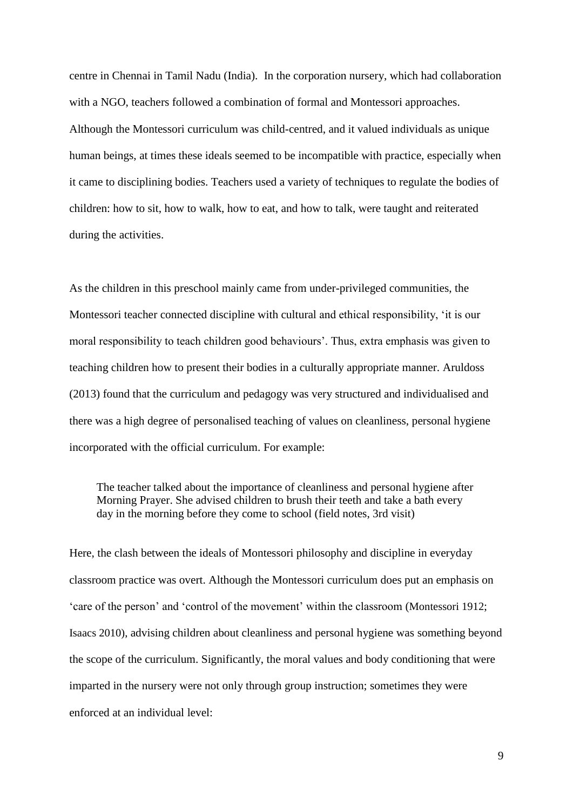centre in Chennai in Tamil Nadu (India). In the corporation nursery, which had collaboration with a NGO, teachers followed a combination of formal and Montessori approaches. Although the Montessori curriculum was child-centred, and it valued individuals as unique human beings, at times these ideals seemed to be incompatible with practice, especially when it came to disciplining bodies. Teachers used a variety of techniques to regulate the bodies of children: how to sit, how to walk, how to eat, and how to talk, were taught and reiterated during the activities.

As the children in this preschool mainly came from under-privileged communities, the Montessori teacher connected discipline with cultural and ethical responsibility, 'it is our moral responsibility to teach children good behaviours'. Thus, extra emphasis was given to teaching children how to present their bodies in a culturally appropriate manner. Aruldoss (2013) found that the curriculum and pedagogy was very structured and individualised and there was a high degree of personalised teaching of values on cleanliness, personal hygiene incorporated with the official curriculum. For example:

The teacher talked about the importance of cleanliness and personal hygiene after Morning Prayer. She advised children to brush their teeth and take a bath every day in the morning before they come to school (field notes, 3rd visit)

Here, the clash between the ideals of Montessori philosophy and discipline in everyday classroom practice was overt. Although the Montessori curriculum does put an emphasis on 'care of the person' and 'control of the movement' within the classroom (Montessori 1912; Isaacs 2010), advising children about cleanliness and personal hygiene was something beyond the scope of the curriculum. Significantly, the moral values and body conditioning that were imparted in the nursery were not only through group instruction; sometimes they were enforced at an individual level: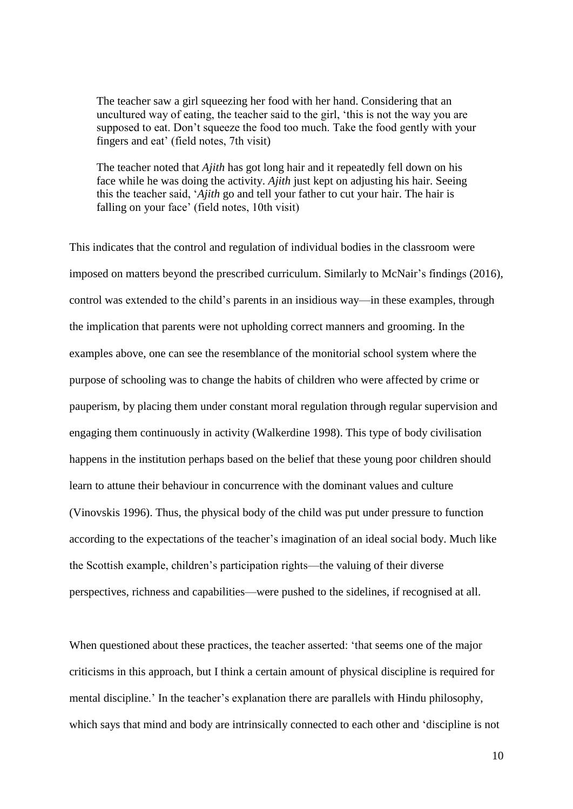The teacher saw a girl squeezing her food with her hand. Considering that an uncultured way of eating, the teacher said to the girl, 'this is not the way you are supposed to eat. Don't squeeze the food too much. Take the food gently with your fingers and eat' (field notes, 7th visit)

The teacher noted that *Ajith* has got long hair and it repeatedly fell down on his face while he was doing the activity. *Ajith* just kept on adjusting his hair. Seeing this the teacher said, '*Ajith* go and tell your father to cut your hair. The hair is falling on your face' (field notes, 10th visit)

This indicates that the control and regulation of individual bodies in the classroom were imposed on matters beyond the prescribed curriculum. Similarly to McNair's findings (2016), control was extended to the child's parents in an insidious way—in these examples, through the implication that parents were not upholding correct manners and grooming. In the examples above, one can see the resemblance of the monitorial school system where the purpose of schooling was to change the habits of children who were affected by crime or pauperism, by placing them under constant moral regulation through regular supervision and engaging them continuously in activity (Walkerdine 1998). This type of body civilisation happens in the institution perhaps based on the belief that these young poor children should learn to attune their behaviour in concurrence with the dominant values and culture (Vinovskis 1996). Thus, the physical body of the child was put under pressure to function according to the expectations of the teacher's imagination of an ideal social body. Much like the Scottish example, children's participation rights—the valuing of their diverse perspectives, richness and capabilities—were pushed to the sidelines, if recognised at all.

When questioned about these practices, the teacher asserted: 'that seems one of the major criticisms in this approach, but I think a certain amount of physical discipline is required for mental discipline.' In the teacher's explanation there are parallels with Hindu philosophy, which says that mind and body are intrinsically connected to each other and 'discipline is not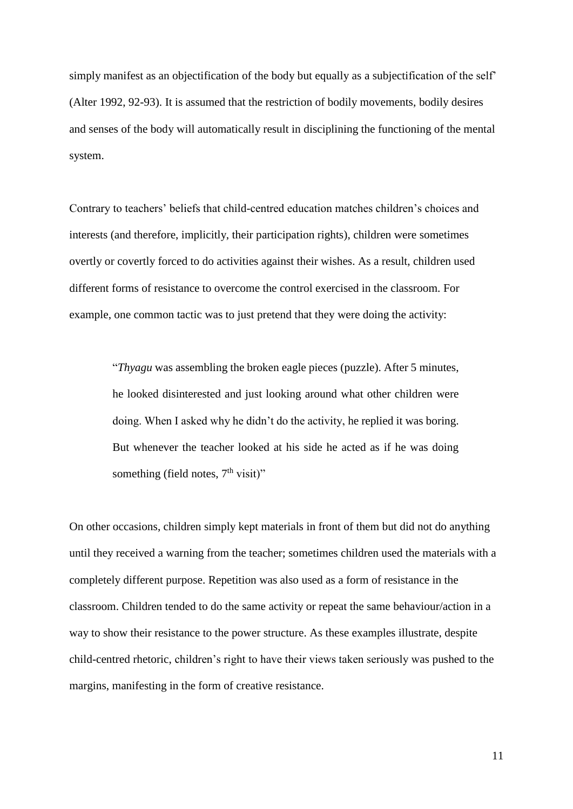simply manifest as an objectification of the body but equally as a subjectification of the self' (Alter 1992, 92-93). It is assumed that the restriction of bodily movements, bodily desires and senses of the body will automatically result in disciplining the functioning of the mental system.

Contrary to teachers' beliefs that child-centred education matches children's choices and interests (and therefore, implicitly, their participation rights), children were sometimes overtly or covertly forced to do activities against their wishes. As a result, children used different forms of resistance to overcome the control exercised in the classroom. For example, one common tactic was to just pretend that they were doing the activity:

> "*Thyagu* was assembling the broken eagle pieces (puzzle). After 5 minutes, he looked disinterested and just looking around what other children were doing. When I asked why he didn't do the activity, he replied it was boring. But whenever the teacher looked at his side he acted as if he was doing something (field notes,  $7<sup>th</sup>$  visit)"

On other occasions, children simply kept materials in front of them but did not do anything until they received a warning from the teacher; sometimes children used the materials with a completely different purpose. Repetition was also used as a form of resistance in the classroom. Children tended to do the same activity or repeat the same behaviour/action in a way to show their resistance to the power structure. As these examples illustrate, despite child-centred rhetoric, children's right to have their views taken seriously was pushed to the margins, manifesting in the form of creative resistance.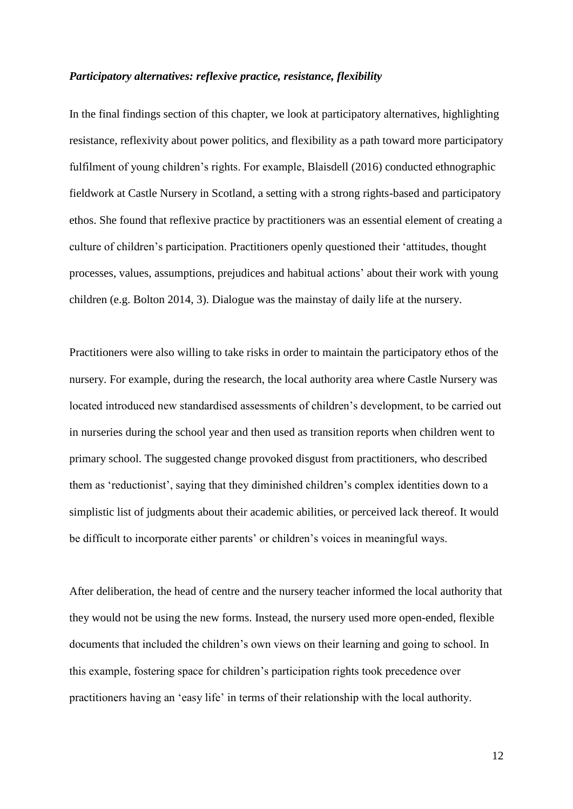#### *Participatory alternatives: reflexive practice, resistance, flexibility*

In the final findings section of this chapter, we look at participatory alternatives, highlighting resistance, reflexivity about power politics, and flexibility as a path toward more participatory fulfilment of young children's rights. For example, Blaisdell (2016) conducted ethnographic fieldwork at Castle Nursery in Scotland, a setting with a strong rights-based and participatory ethos. She found that reflexive practice by practitioners was an essential element of creating a culture of children's participation. Practitioners openly questioned their 'attitudes, thought processes, values, assumptions, prejudices and habitual actions' about their work with young children (e.g. Bolton 2014, 3). Dialogue was the mainstay of daily life at the nursery.

Practitioners were also willing to take risks in order to maintain the participatory ethos of the nursery. For example, during the research, the local authority area where Castle Nursery was located introduced new standardised assessments of children's development, to be carried out in nurseries during the school year and then used as transition reports when children went to primary school. The suggested change provoked disgust from practitioners, who described them as 'reductionist', saying that they diminished children's complex identities down to a simplistic list of judgments about their academic abilities, or perceived lack thereof. It would be difficult to incorporate either parents' or children's voices in meaningful ways.

After deliberation, the head of centre and the nursery teacher informed the local authority that they would not be using the new forms. Instead, the nursery used more open-ended, flexible documents that included the children's own views on their learning and going to school. In this example, fostering space for children's participation rights took precedence over practitioners having an 'easy life' in terms of their relationship with the local authority.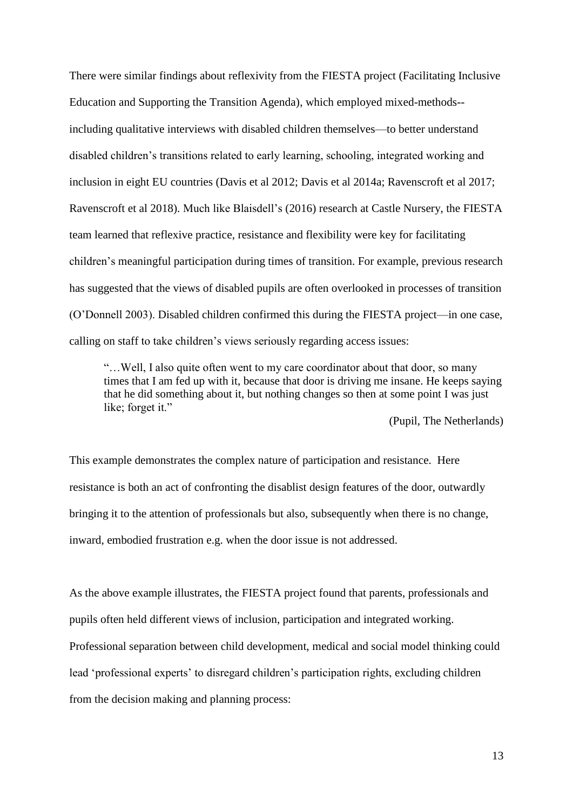There were similar findings about reflexivity from the FIESTA project (Facilitating Inclusive Education and Supporting the Transition Agenda), which employed mixed-methods- including qualitative interviews with disabled children themselves—to better understand disabled children's transitions related to early learning, schooling, integrated working and inclusion in eight EU countries (Davis et al 2012; Davis et al 2014a; Ravenscroft et al 2017; Ravenscroft et al 2018). Much like Blaisdell's (2016) research at Castle Nursery, the FIESTA team learned that reflexive practice, resistance and flexibility were key for facilitating children's meaningful participation during times of transition. For example, previous research has suggested that the views of disabled pupils are often overlooked in processes of transition (O'Donnell 2003). Disabled children confirmed this during the FIESTA project—in one case, calling on staff to take children's views seriously regarding access issues:

"…Well, I also quite often went to my care coordinator about that door, so many times that I am fed up with it, because that door is driving me insane. He keeps saying that he did something about it, but nothing changes so then at some point I was just like; forget it."

(Pupil, The Netherlands)

This example demonstrates the complex nature of participation and resistance. Here resistance is both an act of confronting the disablist design features of the door, outwardly bringing it to the attention of professionals but also, subsequently when there is no change, inward, embodied frustration e.g. when the door issue is not addressed.

As the above example illustrates, the FIESTA project found that parents, professionals and pupils often held different views of inclusion, participation and integrated working. Professional separation between child development, medical and social model thinking could lead 'professional experts' to disregard children's participation rights, excluding children from the decision making and planning process: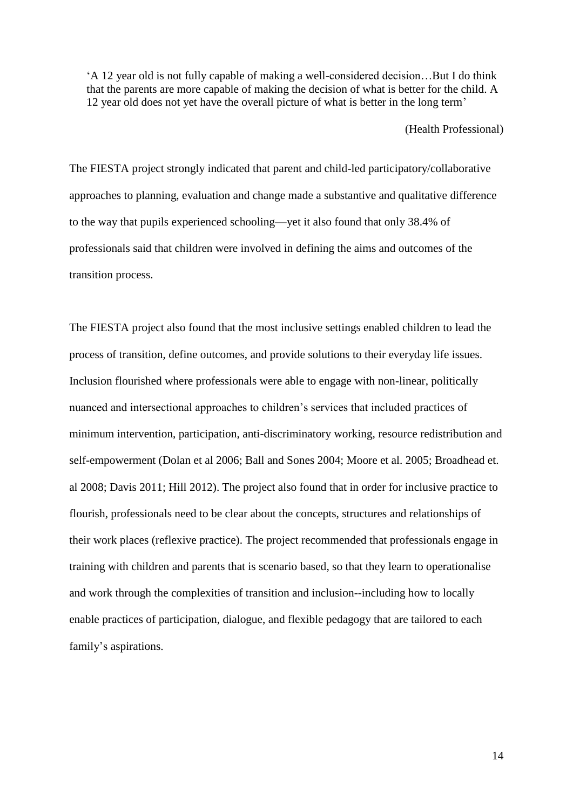'A 12 year old is not fully capable of making a well-considered decision…But I do think that the parents are more capable of making the decision of what is better for the child. A 12 year old does not yet have the overall picture of what is better in the long term'

(Health Professional)

The FIESTA project strongly indicated that parent and child-led participatory/collaborative approaches to planning, evaluation and change made a substantive and qualitative difference to the way that pupils experienced schooling—yet it also found that only 38.4% of professionals said that children were involved in defining the aims and outcomes of the transition process.

The FIESTA project also found that the most inclusive settings enabled children to lead the process of transition, define outcomes, and provide solutions to their everyday life issues. Inclusion flourished where professionals were able to engage with non-linear, politically nuanced and intersectional approaches to children's services that included practices of minimum intervention, participation, anti-discriminatory working, resource redistribution and self-empowerment (Dolan et al 2006; Ball and Sones 2004; Moore et al. 2005; Broadhead et. al 2008; Davis 2011; Hill 2012). The project also found that in order for inclusive practice to flourish, professionals need to be clear about the concepts, structures and relationships of their work places (reflexive practice). The project recommended that professionals engage in training with children and parents that is scenario based, so that they learn to operationalise and work through the complexities of transition and inclusion--including how to locally enable practices of participation, dialogue, and flexible pedagogy that are tailored to each family's aspirations.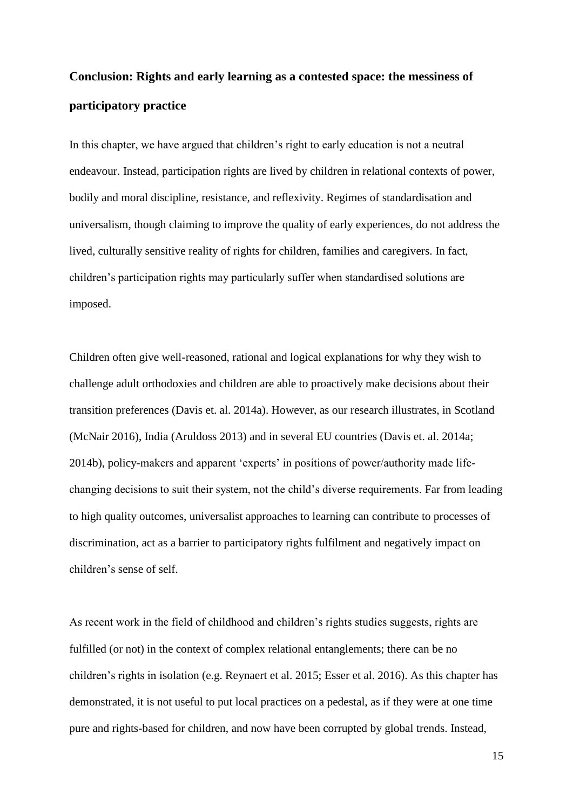# **Conclusion: Rights and early learning as a contested space: the messiness of participatory practice**

In this chapter, we have argued that children's right to early education is not a neutral endeavour. Instead, participation rights are lived by children in relational contexts of power, bodily and moral discipline, resistance, and reflexivity. Regimes of standardisation and universalism, though claiming to improve the quality of early experiences, do not address the lived, culturally sensitive reality of rights for children, families and caregivers. In fact, children's participation rights may particularly suffer when standardised solutions are imposed.

Children often give well-reasoned, rational and logical explanations for why they wish to challenge adult orthodoxies and children are able to proactively make decisions about their transition preferences (Davis et. al. 2014a). However, as our research illustrates, in Scotland (McNair 2016), India (Aruldoss 2013) and in several EU countries (Davis et. al. 2014a; 2014b), policy-makers and apparent 'experts' in positions of power/authority made lifechanging decisions to suit their system, not the child's diverse requirements. Far from leading to high quality outcomes, universalist approaches to learning can contribute to processes of discrimination, act as a barrier to participatory rights fulfilment and negatively impact on children's sense of self.

As recent work in the field of childhood and children's rights studies suggests, rights are fulfilled (or not) in the context of complex relational entanglements; there can be no children's rights in isolation (e.g. Reynaert et al. 2015; Esser et al. 2016). As this chapter has demonstrated, it is not useful to put local practices on a pedestal, as if they were at one time pure and rights-based for children, and now have been corrupted by global trends. Instead,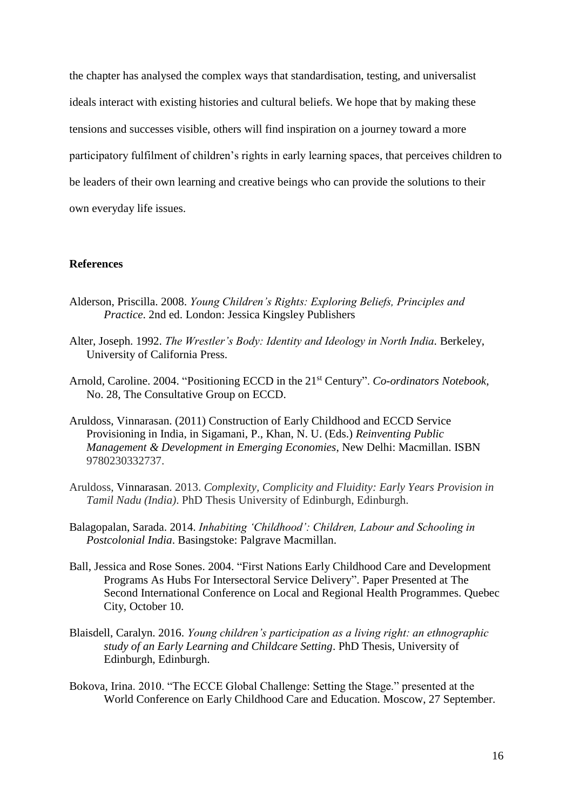the chapter has analysed the complex ways that standardisation, testing, and universalist ideals interact with existing histories and cultural beliefs. We hope that by making these tensions and successes visible, others will find inspiration on a journey toward a more participatory fulfilment of children's rights in early learning spaces, that perceives children to be leaders of their own learning and creative beings who can provide the solutions to their own everyday life issues.

## **References**

- Alderson, Priscilla. 2008. *Young Children's Rights: Exploring Beliefs, Principles and Practice*. 2nd ed. London: Jessica Kingsley Publishers
- Alter, Joseph. 1992. *The Wrestler's Body: Identity and Ideology in North India.* Berkeley, University of California Press.
- Arnold, Caroline. 2004. "Positioning ECCD in the 21st Century". *Co-ordinators Notebook,*  No. 28, The Consultative Group on ECCD.
- Aruldoss, Vinnarasan. (2011) Construction of Early Childhood and ECCD Service Provisioning in India, in Sigamani, P., Khan, N. U. (Eds.) *Reinventing Public Management & Development in Emerging Economies*, New Delhi: Macmillan. ISBN 9780230332737.
- Aruldoss, Vinnarasan. 2013. *Complexity, Complicity and Fluidity: Early Years Provision in Tamil Nadu (India)*. PhD Thesis University of Edinburgh, Edinburgh.
- Balagopalan, Sarada. 2014. *Inhabiting 'Childhood': Children, Labour and Schooling in Postcolonial India*. Basingstoke: Palgrave Macmillan.
- Ball, Jessica and Rose Sones. 2004. "First Nations Early Childhood Care and Development Programs As Hubs For Intersectoral Service Delivery". Paper Presented at The Second International Conference on Local and Regional Health Programmes. Quebec City, October 10.
- Blaisdell, Caralyn. 2016. *Young children's participation as a living right: an ethnographic study of an Early Learning and Childcare Setting*. PhD Thesis, University of Edinburgh, Edinburgh.
- Bokova, Irina. 2010. "The ECCE Global Challenge: Setting the Stage." presented at the World Conference on Early Childhood Care and Education. Moscow, 27 September.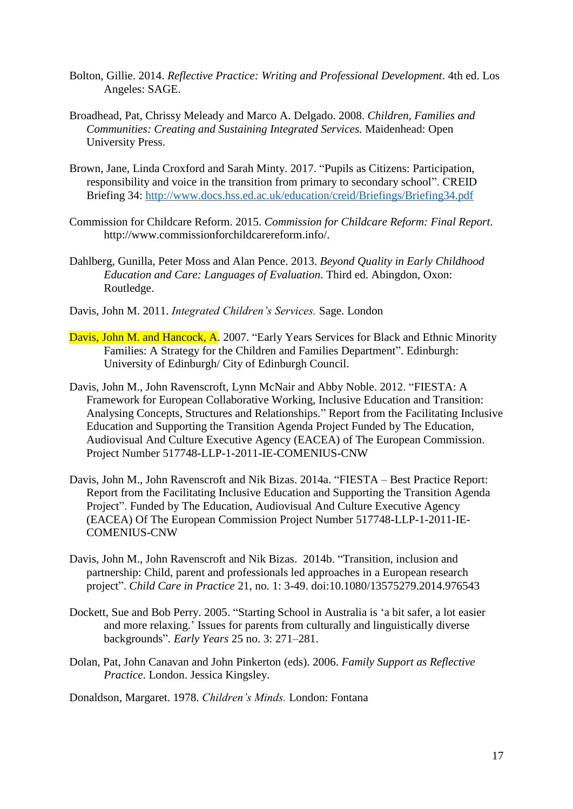- Bolton, Gillie. 2014. *Reflective Practice: Writing and Professional Development*. 4th ed. Los Angeles: SAGE.
- Broadhead, Pat, Chrissy Meleady and Marco A. Delgado. 2008. *Children, Families and Communities: Creating and Sustaining Integrated Services.* Maidenhead: Open University Press.
- Brown, Jane, Linda Croxford and Sarah Minty. 2017. "Pupils as Citizens: Participation, responsibility and voice in the transition from primary to secondary school". CREID Briefing 34:<http://www.docs.hss.ed.ac.uk/education/creid/Briefings/Briefing34.pdf>
- Commission for Childcare Reform. 2015. *Commission for Childcare Reform: Final Report*. http://www.commissionforchildcarereform.info/.
- Dahlberg, Gunilla, Peter Moss and Alan Pence. 2013. *Beyond Quality in Early Childhood Education and Care: Languages of Evaluation*. Third ed. Abingdon, Oxon: Routledge.
- Davis, John M. 2011. *Integrated Children's Services.* Sage. London
- Davis, John M. and Hancock, A. 2007. "Early Years Services for Black and Ethnic Minority Families: A Strategy for the Children and Families Department". Edinburgh: University of Edinburgh/ City of Edinburgh Council.
- Davis, John M., John Ravenscroft, Lynn McNair and Abby Noble. 2012. "FIESTA: A Framework for European Collaborative Working, Inclusive Education and Transition: Analysing Concepts, Structures and Relationships." Report from the Facilitating Inclusive Education and Supporting the Transition Agenda Project Funded by The Education, Audiovisual And Culture Executive Agency (EACEA) of The European Commission. Project Number 517748-LLP-1-2011-IE-COMENIUS-CNW
- Davis, John M., John Ravenscroft and Nik Bizas. 2014a. "FIESTA Best Practice Report: Report from the Facilitating Inclusive Education and Supporting the Transition Agenda Project". Funded by The Education, Audiovisual And Culture Executive Agency (EACEA) Of The European Commission Project Number 517748-LLP-1-2011-IE-COMENIUS-CNW
- Davis, John M., John Ravenscroft and Nik Bizas. 2014b. "Transition, inclusion and partnership: Child, parent and professionals led approaches in a European research project". *Child Care in Practice* 21, no. 1: 3-49. doi:10.1080/13575279.2014.976543
- Dockett, Sue and Bob Perry. 2005. "Starting School in Australia is 'a bit safer, a lot easier and more relaxing.' Issues for parents from culturally and linguistically diverse backgrounds". *Early Years* 25 no. 3: 271–281.
- Dolan, Pat, John Canavan and John Pinkerton (eds). 2006. *Family Support as Reflective Practice*. London. Jessica Kingsley.

Donaldson, Margaret. 1978. *Children's Minds.* London: Fontana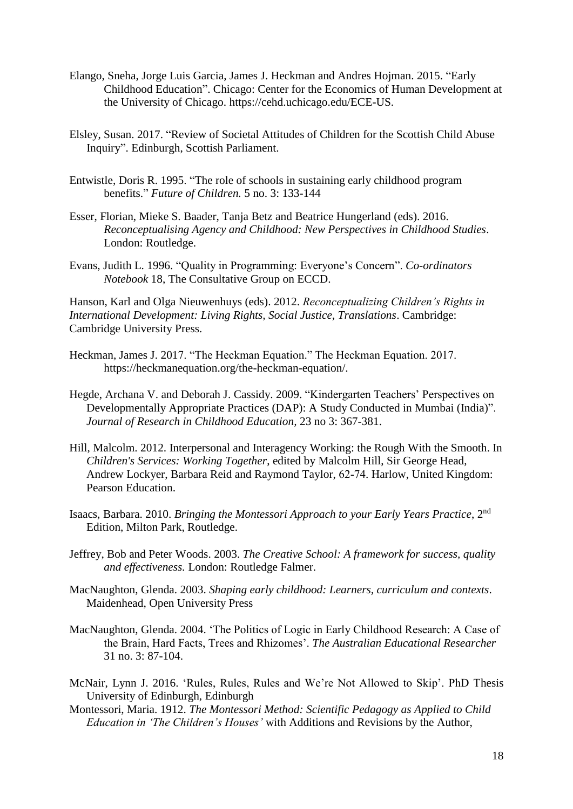- Elango, Sneha, Jorge Luis Garcia, James J. Heckman and Andres Hojman. 2015. "Early Childhood Education". Chicago: Center for the Economics of Human Development at the University of Chicago. https://cehd.uchicago.edu/ECE-US.
- Elsley, Susan. 2017. "Review of Societal Attitudes of Children for the Scottish Child Abuse Inquiry". Edinburgh, Scottish Parliament.
- Entwistle, Doris R. 1995. "The role of schools in sustaining early childhood program benefits." *Future of Children.* 5 no. 3: 133-144
- Esser, Florian, Mieke S. Baader, Tanja Betz and Beatrice Hungerland (eds). 2016. *Reconceptualising Agency and Childhood: New Perspectives in Childhood Studies*. London: Routledge.
- Evans, Judith L. 1996. "Quality in Programming: Everyone's Concern". *Co-ordinators Notebook* 18, The Consultative Group on ECCD.

Hanson, Karl and Olga Nieuwenhuys (eds). 2012. *Reconceptualizing Children's Rights in International Development: Living Rights, Social Justice, Translations*. Cambridge: Cambridge University Press.

- Heckman, James J. 2017. "The Heckman Equation." The Heckman Equation. 2017. https://heckmanequation.org/the-heckman-equation/.
- Hegde, Archana V. and Deborah J. Cassidy. 2009. "Kindergarten Teachers' Perspectives on Developmentally Appropriate Practices (DAP): A Study Conducted in Mumbai (India)". *Journal of Research in Childhood Education,* 23 no 3: 367-381.
- Hill, Malcolm. 2012. Interpersonal and Interagency Working: the Rough With the Smooth. In *Children's Services: Working Together*, edited by Malcolm Hill, Sir George Head, Andrew Lockyer, Barbara Reid and Raymond Taylor, 62‐74. Harlow, United Kingdom: Pearson Education.
- Isaacs, Barbara. 2010. *Bringing the Montessori Approach to your Early Years Practice*, 2nd Edition, Milton Park, Routledge.
- Jeffrey, Bob and Peter Woods. 2003. *The Creative School: A framework for success, quality and effectiveness.* London: Routledge Falmer.
- MacNaughton, Glenda. 2003. *Shaping early childhood: Learners, curriculum and contexts*. Maidenhead, Open University Press
- MacNaughton, Glenda. 2004. 'The Politics of Logic in Early Childhood Research: A Case of the Brain, Hard Facts, Trees and Rhizomes'. *The Australian Educational Researcher* 31 no. 3: 87-104.
- McNair, Lynn J. 2016. 'Rules, Rules, Rules and We're Not Allowed to Skip'. PhD Thesis University of Edinburgh, Edinburgh
- Montessori, Maria. 1912. *The Montessori Method: Scientific Pedagogy as Applied to Child Education in 'The Children's Houses'* with Additions and Revisions by the Author,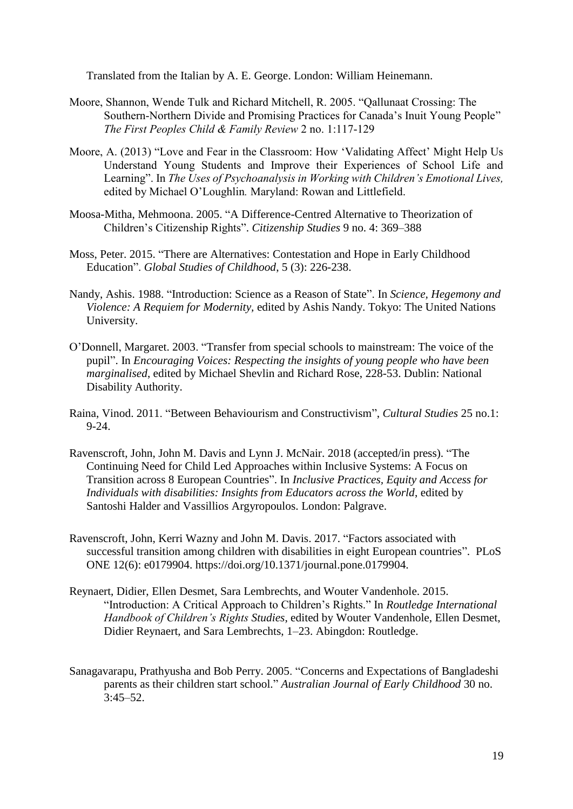Translated from the Italian by A. E. George. London: William Heinemann.

- Moore, Shannon, Wende Tulk and Richard Mitchell, R. 2005. "Qallunaat Crossing: The Southern-Northern Divide and Promising Practices for Canada's Inuit Young People" *The First Peoples Child & Family Review* 2 no. 1:117-129
- Moore, A. (2013) "Love and Fear in the Classroom: How 'Validating Affect' Might Help Us Understand Young Students and Improve their Experiences of School Life and Learning". In *The Uses of Psychoanalysis in Working with Children's Emotional Lives,*  edited by Michael O'Loughlin*.* Maryland: Rowan and Littlefield.
- Moosa-Mitha, Mehmoona. 2005. "A Difference-Centred Alternative to Theorization of Children's Citizenship Rights". *Citizenship Studies* 9 no. 4: 369–388
- Moss, Peter. 2015. "There are Alternatives: Contestation and Hope in Early Childhood Education". *Global Studies of Childhood*, 5 (3): 226-238.
- Nandy, Ashis. 1988. "Introduction: Science as a Reason of State". In *Science, Hegemony and Violence: A Requiem for Modernity,* edited by Ashis Nandy. Tokyo: The United Nations University.
- O'Donnell, Margaret. 2003. "Transfer from special schools to mainstream: The voice of the pupil". In *Encouraging Voices: Respecting the insights of young people who have been marginalised*, edited by Michael Shevlin and Richard Rose, 228-53. Dublin: National Disability Authority.
- Raina, Vinod. 2011. "Between Behaviourism and Constructivism", *Cultural Studies* 25 no.1: 9-24.
- Ravenscroft, John, John M. Davis and Lynn J. McNair. 2018 (accepted/in press). "The Continuing Need for Child Led Approaches within Inclusive Systems: A Focus on Transition across 8 European Countries". In *Inclusive Practices, Equity and Access for Individuals with disabilities: Insights from Educators across the World*, edited by Santoshi Halder and Vassillios Argyropoulos. London: Palgrave.
- Ravenscroft, John, Kerri Wazny and John M. Davis. 2017. "Factors associated with successful transition among children with disabilities in eight European countries". PLoS ONE 12(6): e0179904. https://doi.org/10.1371/journal.pone.0179904.
- Reynaert, Didier, Ellen Desmet, Sara Lembrechts, and Wouter Vandenhole. 2015. "Introduction: A Critical Approach to Children's Rights." In *Routledge International Handbook of Children's Rights Studies*, edited by Wouter Vandenhole, Ellen Desmet, Didier Reynaert, and Sara Lembrechts, 1–23. Abingdon: Routledge.
- Sanagavarapu, Prathyusha and Bob Perry. 2005. "Concerns and Expectations of Bangladeshi parents as their children start school." *Australian Journal of Early Childhood* 30 no. 3:45–52.